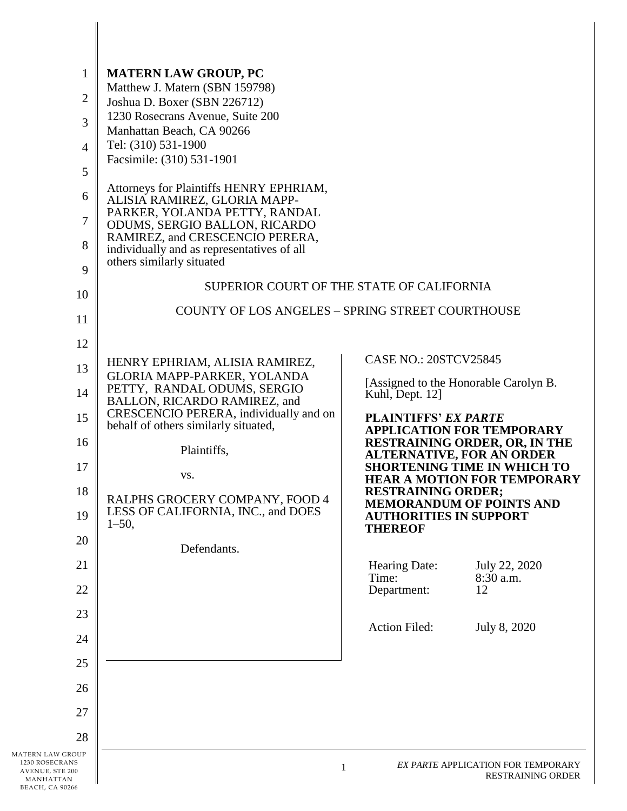| 1                                              | <b>MATERN LAW GROUP, PC</b>                                                   |                               |                                                                        |  |  |
|------------------------------------------------|-------------------------------------------------------------------------------|-------------------------------|------------------------------------------------------------------------|--|--|
| 2                                              | Matthew J. Matern (SBN 159798)                                                |                               |                                                                        |  |  |
|                                                | Joshua D. Boxer (SBN 226712)                                                  |                               |                                                                        |  |  |
| 3                                              | 1230 Rosecrans Avenue, Suite 200<br>Manhattan Beach, CA 90266                 |                               |                                                                        |  |  |
| $\overline{4}$                                 | Tel: (310) 531-1900                                                           |                               |                                                                        |  |  |
|                                                | Facsimile: (310) 531-1901                                                     |                               |                                                                        |  |  |
| 5                                              |                                                                               |                               |                                                                        |  |  |
| 6                                              | Attorneys for Plaintiffs HENRY EPHRIAM,<br>ALISIA RAMIREZ, GLORIA MAPP-       |                               |                                                                        |  |  |
|                                                | PARKER, YOLANDA PETTY, RANDAL                                                 |                               |                                                                        |  |  |
| $\tau$                                         | ODUMS, SERGIO BALLON, RICARDO                                                 |                               |                                                                        |  |  |
| 8                                              | RAMIREZ, and CRESCENCIO PERERA,<br>individually and as representatives of all |                               |                                                                        |  |  |
|                                                | others similarly situated                                                     |                               |                                                                        |  |  |
| 9                                              | SUPERIOR COURT OF THE STATE OF CALIFORNIA                                     |                               |                                                                        |  |  |
| 10                                             |                                                                               |                               |                                                                        |  |  |
| 11                                             | <b>COUNTY OF LOS ANGELES - SPRING STREET COURTHOUSE</b>                       |                               |                                                                        |  |  |
| 12                                             |                                                                               |                               |                                                                        |  |  |
|                                                | HENRY EPHRIAM, ALISIA RAMIREZ,                                                | <b>CASE NO.: 20STCV25845</b>  |                                                                        |  |  |
| 13                                             | GLORIA MAPP-PARKER, YOLANDA                                                   |                               | [Assigned to the Honorable Carolyn B.                                  |  |  |
| 14                                             | PETTY, RANDAL ODUMS, SERGIO<br>BALLON, RICARDO RAMIREZ, and                   | Kuhl, Dept. 12]               |                                                                        |  |  |
| 15                                             | CRESCENCIO PERERA, individually and on                                        | <b>PLAINTIFFS' EX PARTE</b>   |                                                                        |  |  |
|                                                | behalf of others similarly situated,                                          |                               | <b>APPLICATION FOR TEMPORARY</b>                                       |  |  |
| 16                                             | Plaintiffs,                                                                   |                               | <b>RESTRAINING ORDER, OR, IN THE</b>                                   |  |  |
| 17                                             |                                                                               |                               | <b>ALTERNATIVE, FOR AN ORDER</b><br><b>SHORTENING TIME IN WHICH TO</b> |  |  |
|                                                | VS.                                                                           |                               | <b>HEAR A MOTION FOR TEMPORARY</b>                                     |  |  |
| 18                                             | RALPHS GROCERY COMPANY, FOOD 4                                                | <b>RESTRAINING ORDER;</b>     |                                                                        |  |  |
| 19                                             | LESS OF CALIFORNIA, INC., and DOES                                            | <b>AUTHORITIES IN SUPPORT</b> | <b>MEMORANDUM OF POINTS AND</b>                                        |  |  |
|                                                | $1 - 50$ ,                                                                    | <b>THEREOF</b>                |                                                                        |  |  |
| 20                                             | Defendants.                                                                   |                               |                                                                        |  |  |
| 21                                             |                                                                               | Hearing Date:                 | July 22, 2020                                                          |  |  |
|                                                |                                                                               | Time:                         | 8:30 a.m.                                                              |  |  |
| 22                                             |                                                                               | Department:                   | 12                                                                     |  |  |
| 23                                             |                                                                               |                               |                                                                        |  |  |
|                                                |                                                                               | Action Filed:                 | July 8, 2020                                                           |  |  |
| 24                                             |                                                                               |                               |                                                                        |  |  |
| 25                                             |                                                                               |                               |                                                                        |  |  |
| 26                                             |                                                                               |                               |                                                                        |  |  |
| 27                                             |                                                                               |                               |                                                                        |  |  |
| 28                                             |                                                                               |                               |                                                                        |  |  |
| MATERN LAW GROUP                               |                                                                               |                               |                                                                        |  |  |
| 1230 ROSECRANS<br>AVENUE, STE 200<br>MANHATTAN |                                                                               | 1                             | EX PARTE APPLICATION FOR TEMPORARY<br>RESTRAINING ORDER                |  |  |

AVENUE, STE 200 MANHATTAN BEACH, CA 90266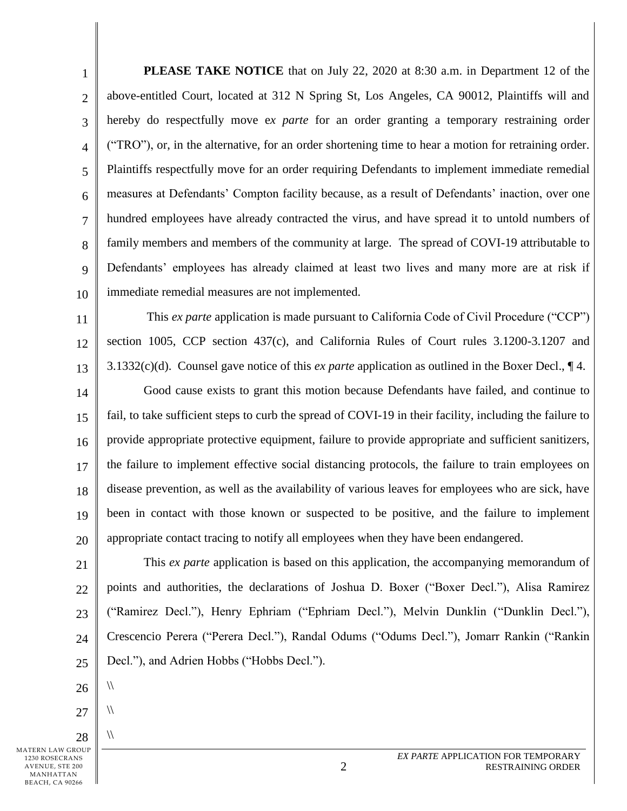1 2 3 4 5 6 7 8 9 10 **PLEASE TAKE NOTICE** that on July 22, 2020 at 8:30 a.m. in Department 12 of the above-entitled Court, located at 312 N Spring St, Los Angeles, CA 90012, Plaintiffs will and hereby do respectfully move e*x parte* for an order granting a temporary restraining order ("TRO"), or, in the alternative, for an order shortening time to hear a motion for retraining order. Plaintiffs respectfully move for an order requiring Defendants to implement immediate remedial measures at Defendants' Compton facility because, as a result of Defendants' inaction, over one hundred employees have already contracted the virus, and have spread it to untold numbers of family members and members of the community at large. The spread of COVI-19 attributable to Defendants' employees has already claimed at least two lives and many more are at risk if immediate remedial measures are not implemented.

11 12 13 This *ex parte* application is made pursuant to California Code of Civil Procedure ("CCP") section 1005, CCP section 437(c), and California Rules of Court rules 3.1200-3.1207 and 3.1332(c)(d). Counsel gave notice of this *ex parte* application as outlined in the Boxer Decl., ¶ 4.

14 15 16 17 18 19 20 Good cause exists to grant this motion because Defendants have failed, and continue to fail, to take sufficient steps to curb the spread of COVI-19 in their facility, including the failure to provide appropriate protective equipment, failure to provide appropriate and sufficient sanitizers, the failure to implement effective social distancing protocols, the failure to train employees on disease prevention, as well as the availability of various leaves for employees who are sick, have been in contact with those known or suspected to be positive, and the failure to implement appropriate contact tracing to notify all employees when they have been endangered.

21 22 23 24  $25$ This *ex parte* application is based on this application, the accompanying memorandum of points and authorities, the declarations of Joshua D. Boxer ("Boxer Decl."), Alisa Ramirez ("Ramirez Decl."), Henry Ephriam ("Ephriam Decl."), Melvin Dunklin ("Dunklin Decl."), Crescencio Perera ("Perera Decl."), Randal Odums ("Odums Decl."), Jomarr Rankin ("Rankin Decl."), and Adrien Hobbs ("Hobbs Decl.").

- 26  $\sqrt{ }$
- 27  $\sqrt{ }$
- 28  $\sqrt{ }$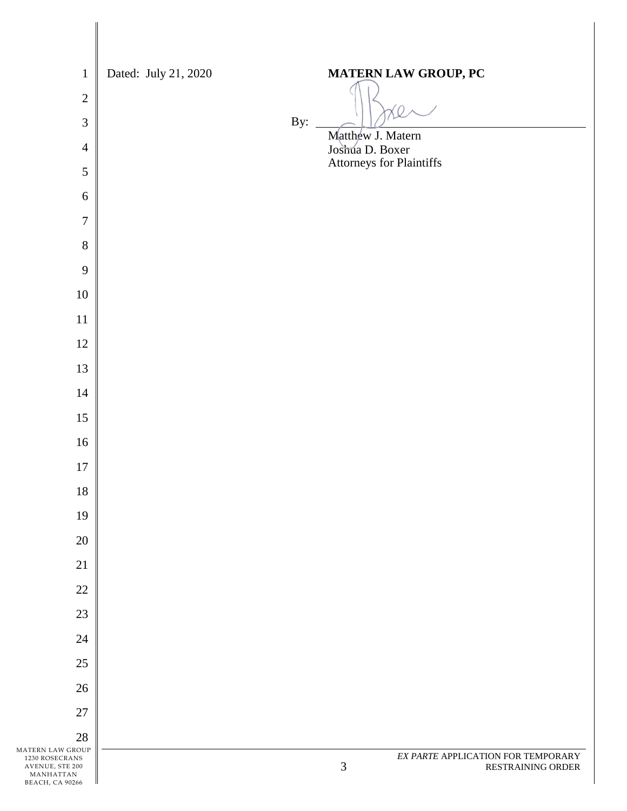| $\mathbf{1}$                                   | Dated: July 21, 2020 |     | MATERN LAW GROUP, PC                             |
|------------------------------------------------|----------------------|-----|--------------------------------------------------|
| $\sqrt{2}$                                     |                      |     |                                                  |
| 3                                              |                      | By: |                                                  |
| $\overline{4}$                                 |                      |     | Matthew J. Matern<br>Joshua D. Boxer             |
| $\sqrt{5}$                                     |                      |     | Attorneys for Plaintiffs                         |
| $\sqrt{6}$                                     |                      |     |                                                  |
| $\boldsymbol{7}$                               |                      |     |                                                  |
| $8\,$                                          |                      |     |                                                  |
| 9                                              |                      |     |                                                  |
| $10\,$                                         |                      |     |                                                  |
| $11\,$                                         |                      |     |                                                  |
| $12\,$                                         |                      |     |                                                  |
| 13                                             |                      |     |                                                  |
| $14\,$                                         |                      |     |                                                  |
| $15\,$                                         |                      |     |                                                  |
| $16\,$                                         |                      |     |                                                  |
| $17\,$                                         |                      |     |                                                  |
| $18\,$                                         |                      |     |                                                  |
| 19                                             |                      |     |                                                  |
| $20\,$                                         |                      |     |                                                  |
| 21                                             |                      |     |                                                  |
| 22                                             |                      |     |                                                  |
| 23                                             |                      |     |                                                  |
| 24                                             |                      |     |                                                  |
| $25\,$                                         |                      |     |                                                  |
| 26                                             |                      |     |                                                  |
| 27                                             |                      |     |                                                  |
| 28<br>MATERN LAW GROUP                         |                      |     | EX PARTE APPLICATION FOR TEMPORARY               |
| 1230 ROSECRANS<br>AVENUE, STE 200<br>MANHATTAN |                      |     | $\ensuremath{\mathfrak{Z}}$<br>RESTRAINING ORDER |

BEACH, CA 90266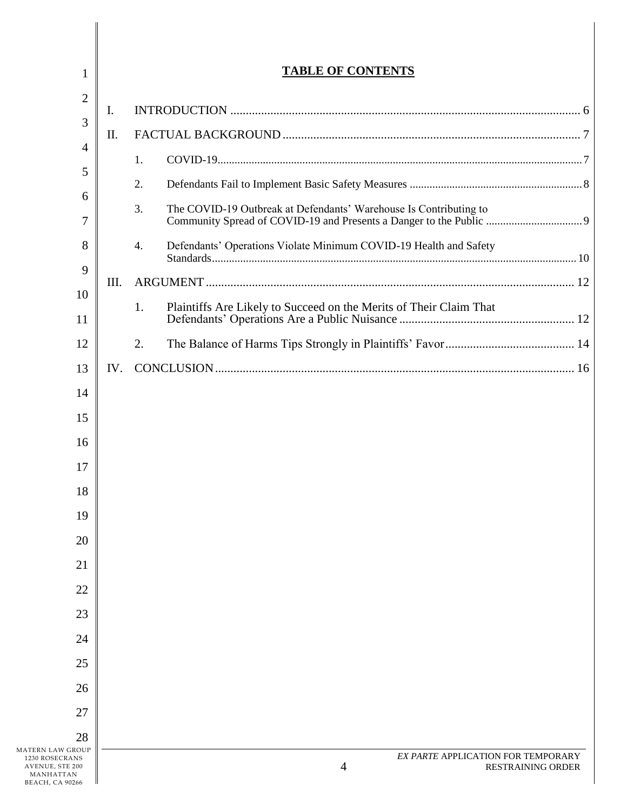| $\mathbf{1}$                                                                                 | <b>TABLE OF CONTENTS</b> |                                                                          |  |
|----------------------------------------------------------------------------------------------|--------------------------|--------------------------------------------------------------------------|--|
| $\overline{2}$                                                                               |                          |                                                                          |  |
| 3                                                                                            | Ι.                       |                                                                          |  |
| 4                                                                                            | II.                      |                                                                          |  |
| 5                                                                                            |                          | 1.                                                                       |  |
| 6                                                                                            |                          | 2.                                                                       |  |
| 7                                                                                            |                          | 3.<br>The COVID-19 Outbreak at Defendants' Warehouse Is Contributing to  |  |
| 8                                                                                            |                          | Defendants' Operations Violate Minimum COVID-19 Health and Safety<br>4.  |  |
| 9                                                                                            | III.                     |                                                                          |  |
| 10<br>11                                                                                     |                          | 1.<br>Plaintiffs Are Likely to Succeed on the Merits of Their Claim That |  |
| 12                                                                                           |                          | 2.                                                                       |  |
| 13                                                                                           | IV.                      |                                                                          |  |
| 14                                                                                           |                          |                                                                          |  |
| 15                                                                                           |                          |                                                                          |  |
| 16                                                                                           |                          |                                                                          |  |
| 17                                                                                           |                          |                                                                          |  |
| 18                                                                                           |                          |                                                                          |  |
| 19                                                                                           |                          |                                                                          |  |
| 20                                                                                           |                          |                                                                          |  |
| 21                                                                                           |                          |                                                                          |  |
| 22                                                                                           |                          |                                                                          |  |
| 23                                                                                           |                          |                                                                          |  |
| 24                                                                                           |                          |                                                                          |  |
| 25                                                                                           |                          |                                                                          |  |
| 26                                                                                           |                          |                                                                          |  |
| 27                                                                                           |                          |                                                                          |  |
| 28                                                                                           |                          |                                                                          |  |
| MATERN LAW GROUP<br>1230 ROSECRANS<br>AVENUE, STE 200<br>MANHATTAN<br><b>BEACH, CA 90266</b> |                          | EX PARTE APPLICATION FOR TEMPORARY<br>4<br><b>RESTRAINING ORDER</b>      |  |

BEACH, CA 90266

Ι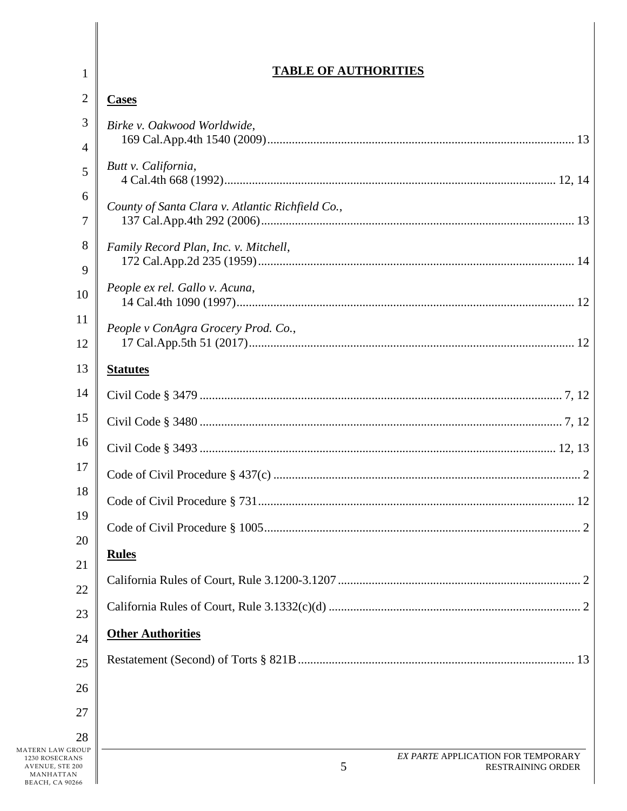| $\mathbf{1}$                                                                                 | <b>TABLE OF AUTHORITIES</b>                                         |
|----------------------------------------------------------------------------------------------|---------------------------------------------------------------------|
| $\overline{2}$                                                                               | <b>Cases</b>                                                        |
| 3<br>4                                                                                       | Birke v. Oakwood Worldwide,                                         |
| 5                                                                                            | Butt v. California,                                                 |
| 6<br>7                                                                                       | County of Santa Clara v. Atlantic Richfield Co.,                    |
| 8<br>9                                                                                       | Family Record Plan, Inc. v. Mitchell,                               |
| 10                                                                                           | People ex rel. Gallo v. Acuna,                                      |
| 11<br>12                                                                                     | People v ConAgra Grocery Prod. Co.,                                 |
| 13                                                                                           | <b>Statutes</b>                                                     |
| 14                                                                                           |                                                                     |
| 15                                                                                           |                                                                     |
| 16                                                                                           |                                                                     |
| 17                                                                                           |                                                                     |
| 18                                                                                           |                                                                     |
| 19                                                                                           |                                                                     |
| 20                                                                                           | <b>Rules</b>                                                        |
| 21                                                                                           |                                                                     |
| 22                                                                                           |                                                                     |
| 23                                                                                           | <b>Other Authorities</b>                                            |
| 24                                                                                           |                                                                     |
| 25                                                                                           |                                                                     |
| 26<br>27                                                                                     |                                                                     |
| 28                                                                                           |                                                                     |
| MATERN LAW GROUP<br>1230 ROSECRANS<br>AVENUE, STE 200<br>MANHATTAN<br><b>BEACH, CA 90266</b> | EX PARTE APPLICATION FOR TEMPORARY<br>5<br><b>RESTRAINING ORDER</b> |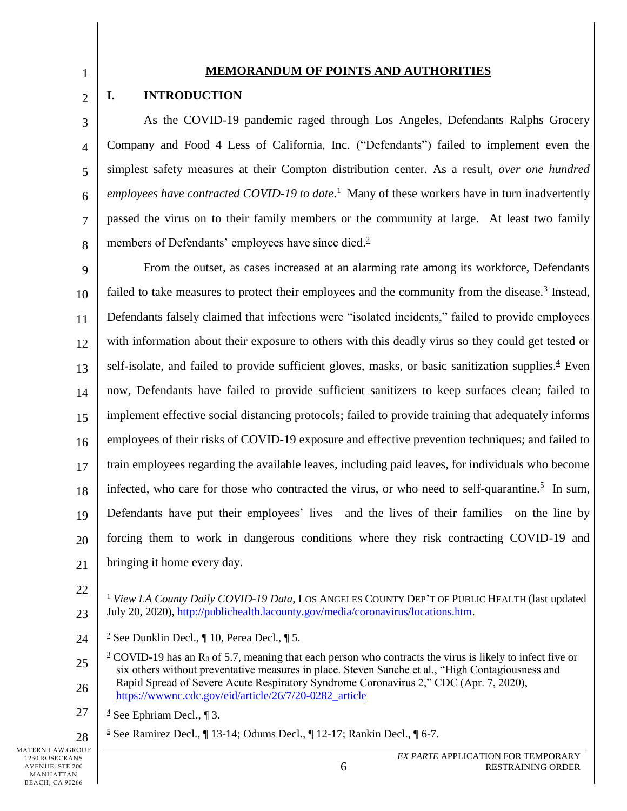## 1 2

5

7

#### **MEMORANDUM OF POINTS AND AUTHORITIES**

## <span id="page-5-0"></span>**I. INTRODUCTION**

3 4 6 8 As the COVID-19 pandemic raged through Los Angeles, Defendants Ralphs Grocery Company and Food 4 Less of California, Inc. ("Defendants") failed to implement even the simplest safety measures at their Compton distribution center. As a result, *over one hundred employees have contracted COVID-19 to date*. <sup>1</sup> Many of these workers have in turn inadvertently passed the virus on to their family members or the community at large. At least two family members of Defendants' employees have since died.<sup>2</sup>

9 10 11 12 13 14 15 16 17 18 19 20 21 From the outset, as cases increased at an alarming rate among its workforce, Defendants failed to take measures to protect their employees and the community from the disease. $3$  Instead, Defendants falsely claimed that infections were "isolated incidents," failed to provide employees with information about their exposure to others with this deadly virus so they could get tested or self-isolate, and failed to provide sufficient gloves, masks, or basic sanitization supplies.<sup>4</sup> Even now, Defendants have failed to provide sufficient sanitizers to keep surfaces clean; failed to implement effective social distancing protocols; failed to provide training that adequately informs employees of their risks of COVID-19 exposure and effective prevention techniques; and failed to train employees regarding the available leaves, including paid leaves, for individuals who become infected, who care for those who contracted the virus, or who need to self-quarantine.<sup>5</sup> In sum, Defendants have put their employees' lives—and the lives of their families—on the line by forcing them to work in dangerous conditions where they risk contracting COVID-19 and bringing it home every day.

22

23 <sup>1</sup> *View LA County Daily COVID-19 Data*, LOS ANGELES COUNTY DEP'T OF PUBLIC HEALTH (last updated July 20, 2020), [http://publichealth.lacounty.gov/media/coronavirus/locations.htm.](http://publichealth.lacounty.gov/media/coronavirus/locations.htm)

24 <sup>2</sup> See Dunklin Decl.,  $\P$  10, Perea Decl.,  $\P$  5.

25 26 <sup>3</sup> COVID-19 has an R<sub>0</sub> of 5.7, meaning that each person who contracts the virus is likely to infect five or six others without preventative measures in place. Steven Sanche et al., "High Contagiousness and Rapid Spread of Severe Acute Respiratory Syndrome Coronavirus 2," CDC (Apr. 7, 2020), [https://wwwnc.cdc.gov/eid/article/26/7/20-0282\\_article](https://wwwnc.cdc.gov/eid/article/26/7/20-0282_article)

27  $\frac{4}{3}$  See Ephriam Decl.,  $\P$  3.

28  $\frac{5}{2}$  See Ramirez Decl.,  $\P$  13-14; Odums Decl.,  $\P$  12-17; Rankin Decl.,  $\P$  6-7.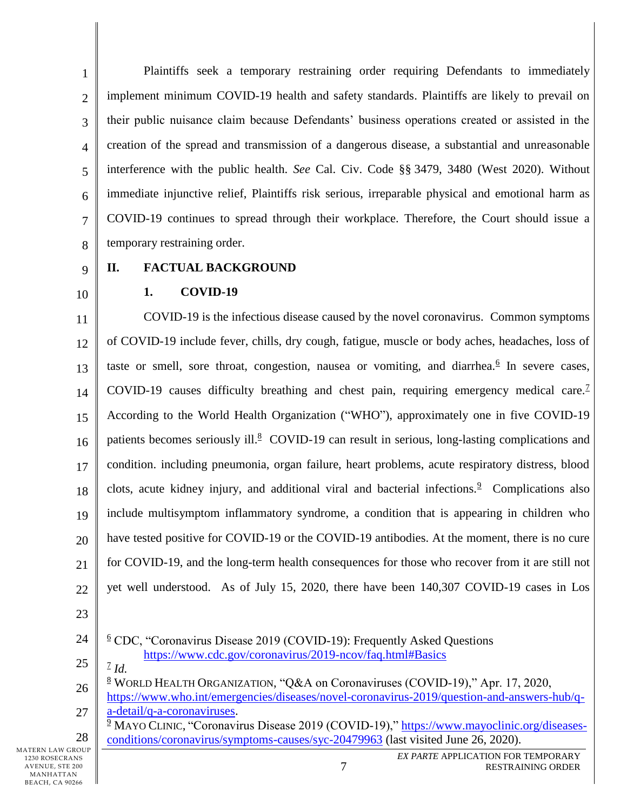1 2 3 4 5 6 7 8 Plaintiffs seek a temporary restraining order requiring Defendants to immediately implement minimum COVID-19 health and safety standards. Plaintiffs are likely to prevail on their public nuisance claim because Defendants' business operations created or assisted in the creation of the spread and transmission of a dangerous disease, a substantial and unreasonable interference with the public health. *See* Cal. Civ. Code §§ 3479, 3480 (West 2020). Without immediate injunctive relief, Plaintiffs risk serious, irreparable physical and emotional harm as COVID-19 continues to spread through their workplace. Therefore, the Court should issue a temporary restraining order.

9

10

# <span id="page-6-1"></span><span id="page-6-0"></span>**II. FACTUAL BACKGROUND**

#### **1. COVID-19**

11 12 13 14 15 16 17 18 19 20 21 22 COVID-19 is the infectious disease caused by the novel coronavirus. Common symptoms of COVID-19 include fever, chills, dry cough, fatigue, muscle or body aches, headaches, loss of taste or smell, sore throat, congestion, nausea or vomiting, and diarrhea. $6$  In severe cases, COVID-19 causes difficulty breathing and chest pain, requiring emergency medical care.<sup>7</sup> According to the World Health Organization ("WHO"), approximately one in five COVID-19 patients becomes seriously ill.<sup>8</sup> COVID-19 can result in serious, long-lasting complications and condition. including pneumonia, organ failure, heart problems, acute respiratory distress, blood clots, acute kidney injury, and additional viral and bacterial infections.<sup>9</sup> Complications also include multisymptom inflammatory syndrome, a condition that is appearing in children who have tested positive for COVID-19 or the COVID-19 antibodies. At the moment, there is no cure for COVID-19, and the long-term health consequences for those who recover from it are still not yet well understood. As of July 15, 2020, there have been 140,307 COVID-19 cases in Los

23

28

- 24 25  $6$  CDC, "Coronavirus Disease 2019 (COVID-19): Frequently Asked Questions <https://www.cdc.gov/coronavirus/2019-ncov/faq.html#Basics>
	- 7 *Id.*

26 27  $8$  WORLD HEALTH ORGANIZATION, "Q&A on Coronaviruses (COVID-19)," Apr. 17, 2020, [https://www.who.int/emergencies/diseases/novel-coronavirus-2019/question-and-answers-hub/q](https://www.who.int/emergencies/diseases/novel-coronavirus-2019/question-and-answers-hub/q-a-detail/q-a-coronaviruses)[a-detail/q-a-coronaviruses.](https://www.who.int/emergencies/diseases/novel-coronavirus-2019/question-and-answers-hub/q-a-detail/q-a-coronaviruses)

<sup>9</sup> MAYO CLINIC, "Coronavirus Disease 2019 (COVID-19)," [https://www.mayoclinic.org/diseases](https://www.mayoclinic.org/diseases-conditions/coronavirus/symptoms-causes/syc-20479963)[conditions/coronavirus/symptoms-causes/syc-20479963](https://www.mayoclinic.org/diseases-conditions/coronavirus/symptoms-causes/syc-20479963) (last visited June 26, 2020).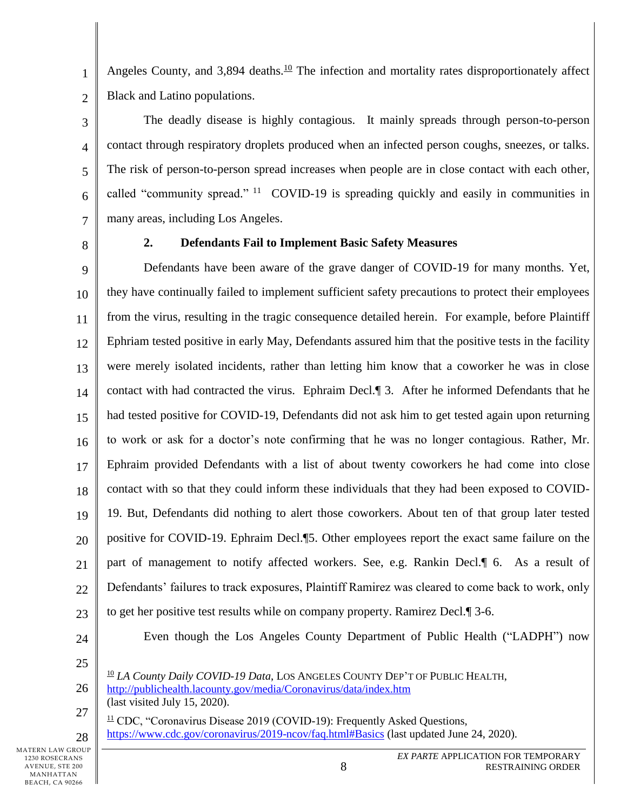Angeles County, and  $3,894$  deaths.<sup>10</sup> The infection and mortality rates disproportionately affect Black and Latino populations.

The deadly disease is highly contagious. It mainly spreads through person-to-person contact through respiratory droplets produced when an infected person coughs, sneezes, or talks. The risk of person-to-person spread increases when people are in close contact with each other, called "community spread." <sup>11</sup> COVID-19 is spreading quickly and easily in communities in many areas, including Los Angeles.

8

1

2

3

4

5

6

<span id="page-7-0"></span>7

#### **2. Defendants Fail to Implement Basic Safety Measures**

9 10 11 12 13 14 15 16 17 18 19 20 21 22 23 Defendants have been aware of the grave danger of COVID-19 for many months. Yet, they have continually failed to implement sufficient safety precautions to protect their employees from the virus, resulting in the tragic consequence detailed herein. For example, before Plaintiff Ephriam tested positive in early May, Defendants assured him that the positive tests in the facility were merely isolated incidents, rather than letting him know that a coworker he was in close contact with had contracted the virus. Ephraim Decl.¶ 3. After he informed Defendants that he had tested positive for COVID-19, Defendants did not ask him to get tested again upon returning to work or ask for a doctor's note confirming that he was no longer contagious. Rather, Mr. Ephraim provided Defendants with a list of about twenty coworkers he had come into close contact with so that they could inform these individuals that they had been exposed to COVID-19. But, Defendants did nothing to alert those coworkers. About ten of that group later tested positive for COVID-19. Ephraim Decl.¶5. Other employees report the exact same failure on the part of management to notify affected workers. See, e.g. Rankin Decl.¶ 6. As a result of Defendants' failures to track exposures, Plaintiff Ramirez was cleared to come back to work, only to get her positive test results while on company property. Ramirez Decl.¶ 3-6.

24

Even though the Los Angeles County Department of Public Health ("LADPH") now

25

26

27

28

<sup>10</sup> *LA County Daily COVID-19 Data*, LOS ANGELES COUNTY DEP'T OF PUBLIC HEALTH,

<http://publichealth.lacounty.gov/media/Coronavirus/data/index.htm> (last visited July 15, 2020).

 $\frac{11}{2}$  CDC, "Coronavirus Disease 2019 (COVID-19): Frequently Asked Questions, <https://www.cdc.gov/coronavirus/2019-ncov/faq.html#Basics> (last updated June 24, 2020).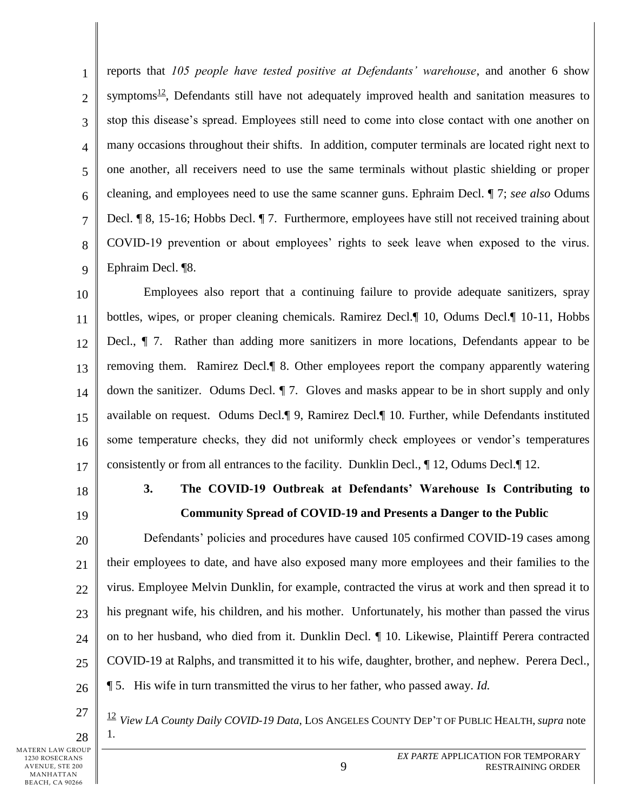1 2 3 4 5 6 7 8 9 reports that *105 people have tested positive at Defendants' warehouse*, and another 6 show symptoms<sup>12</sup>, Defendants still have not adequately improved health and sanitation measures to stop this disease's spread. Employees still need to come into close contact with one another on many occasions throughout their shifts. In addition, computer terminals are located right next to one another, all receivers need to use the same terminals without plastic shielding or proper cleaning, and employees need to use the same scanner guns. Ephraim Decl. ¶ 7; *see also* Odums Decl. ¶ 8, 15-16; Hobbs Decl. ¶ 7. Furthermore, employees have still not received training about COVID-19 prevention or about employees' rights to seek leave when exposed to the virus. Ephraim Decl. ¶8.

10 11 12 13 14 15 16 17 Employees also report that a continuing failure to provide adequate sanitizers, spray bottles, wipes, or proper cleaning chemicals. Ramirez Decl.¶ 10, Odums Decl.¶ 10-11, Hobbs Decl., ¶ 7. Rather than adding more sanitizers in more locations, Defendants appear to be removing them. Ramirez Decl.¶ 8. Other employees report the company apparently watering down the sanitizer. Odums Decl. ¶ 7. Gloves and masks appear to be in short supply and only available on request. Odums Decl.¶ 9, Ramirez Decl.¶ 10. Further, while Defendants instituted some temperature checks, they did not uniformly check employees or vendor's temperatures consistently or from all entrances to the facility. Dunklin Decl., ¶ 12, Odums Decl.¶ 12.

<span id="page-8-0"></span>18

19

## **3. The COVID-19 Outbreak at Defendants' Warehouse Is Contributing to Community Spread of COVID-19 and Presents a Danger to the Public**

20 21 22 23 24  $25$ 26 Defendants' policies and procedures have caused 105 confirmed COVID-19 cases among their employees to date, and have also exposed many more employees and their families to the virus. Employee Melvin Dunklin, for example, contracted the virus at work and then spread it to his pregnant wife, his children, and his mother. Unfortunately, his mother than passed the virus on to her husband, who died from it. Dunklin Decl. ¶ 10. Likewise, Plaintiff Perera contracted COVID-19 at Ralphs, and transmitted it to his wife, daughter, brother, and nephew. Perera Decl., ¶ 5. His wife in turn transmitted the virus to her father, who passed away. *Id.* 

27 28 <sup>12</sup> *View LA County Daily COVID-19 Data*, LOS ANGELES COUNTY DEP'T OF PUBLIC HEALTH, *supra* note 1.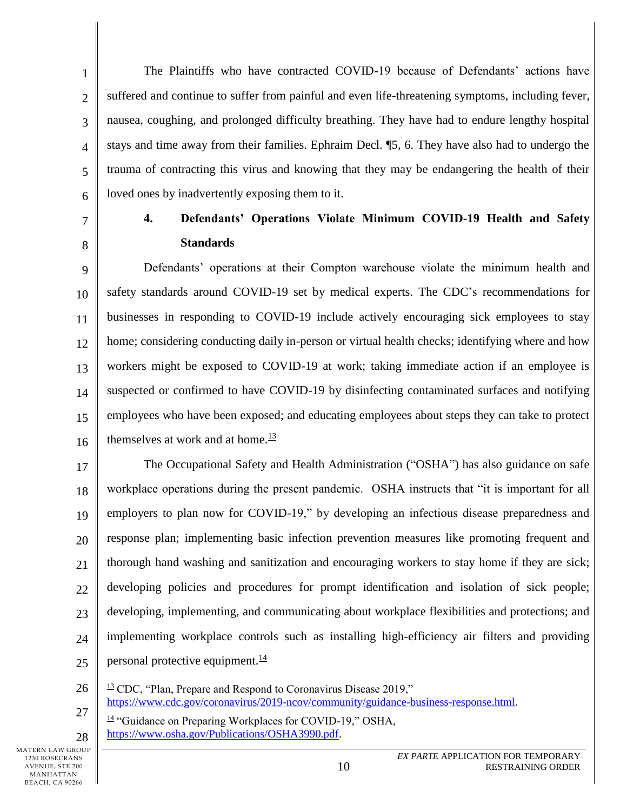The Plaintiffs who have contracted COVID-19 because of Defendants' actions have suffered and continue to suffer from painful and even life-threatening symptoms, including fever, nausea, coughing, and prolonged difficulty breathing. They have had to endure lengthy hospital stays and time away from their families. Ephraim Decl. ¶5, 6. They have also had to undergo the trauma of contracting this virus and knowing that they may be endangering the health of their loved ones by inadvertently exposing them to it.

7

8

1

2

3

4

5

<span id="page-9-0"></span>6

## **4. Defendants' Operations Violate Minimum COVID-19 Health and Safety Standards**

9 10 11 12 13 14 15 16 Defendants' operations at their Compton warehouse violate the minimum health and safety standards around COVID-19 set by medical experts. The CDC's recommendations for businesses in responding to COVID-19 include actively encouraging sick employees to stay home; considering conducting daily in-person or virtual health checks; identifying where and how workers might be exposed to COVID-19 at work; taking immediate action if an employee is suspected or confirmed to have COVID-19 by disinfecting contaminated surfaces and notifying employees who have been exposed; and educating employees about steps they can take to protect themselves at work and at home.<sup>13</sup>

17 18 19 20 21 22 23 24  $25$ The Occupational Safety and Health Administration ("OSHA") has also guidance on safe workplace operations during the present pandemic. OSHA instructs that "it is important for all employers to plan now for COVID-19," by developing an infectious disease preparedness and response plan; implementing basic infection prevention measures like promoting frequent and thorough hand washing and sanitization and encouraging workers to stay home if they are sick; developing policies and procedures for prompt identification and isolation of sick people; developing, implementing, and communicating about workplace flexibilities and protections; and implementing workplace controls such as installing high-efficiency air filters and providing personal protective equipment.<sup>14</sup>

26

28

27  $13$  CDC, "Plan, Prepare and Respond to Coronavirus Disease 2019," [https://www.cdc.gov/coronavirus/2019-ncov/community/guidance-business-response.html.](https://www.cdc.gov/coronavirus/2019-ncov/community/guidance-business-response.html)

<sup>14</sup> "Guidance on Preparing Workplaces for COVID-19," OSHA, [https://www.osha.gov/Publications/OSHA3990.pdf.](https://www.osha.gov/Publications/OSHA3990.pdf)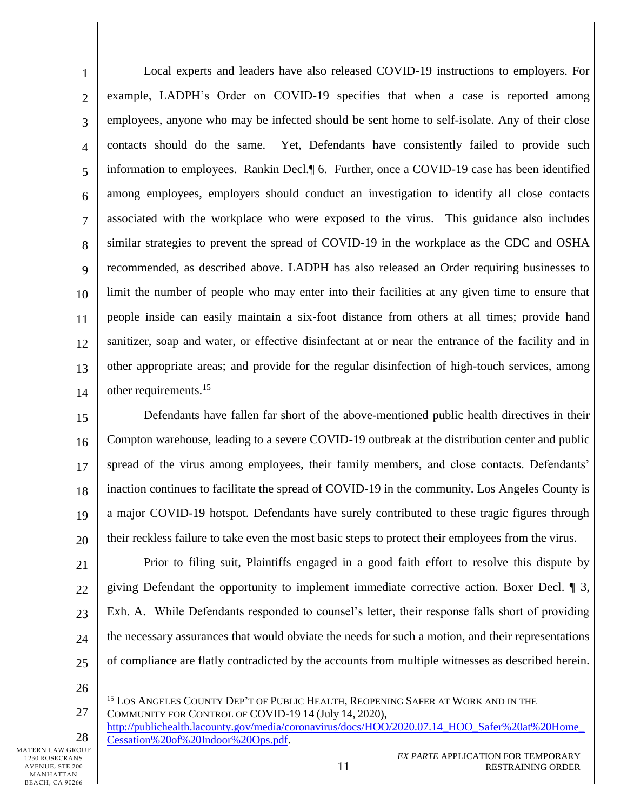1 2 3 4 5 6 7 8 9 10 11 12 13 14 Local experts and leaders have also released COVID-19 instructions to employers. For example, LADPH's Order on COVID-19 specifies that when a case is reported among employees, anyone who may be infected should be sent home to self-isolate. Any of their close contacts should do the same. Yet, Defendants have consistently failed to provide such information to employees. Rankin Decl.¶ 6. Further, once a COVID-19 case has been identified among employees, employers should conduct an investigation to identify all close contacts associated with the workplace who were exposed to the virus. This guidance also includes similar strategies to prevent the spread of COVID-19 in the workplace as the CDC and OSHA recommended, as described above. LADPH has also released an Order requiring businesses to limit the number of people who may enter into their facilities at any given time to ensure that people inside can easily maintain a six-foot distance from others at all times; provide hand sanitizer, soap and water, or effective disinfectant at or near the entrance of the facility and in other appropriate areas; and provide for the regular disinfection of high-touch services, among other requirements. $\frac{15}{10}$ 

15 16 17 18 19 20 Defendants have fallen far short of the above-mentioned public health directives in their Compton warehouse, leading to a severe COVID-19 outbreak at the distribution center and public spread of the virus among employees, their family members, and close contacts. Defendants' inaction continues to facilitate the spread of COVID-19 in the community. Los Angeles County is a major COVID-19 hotspot. Defendants have surely contributed to these tragic figures through their reckless failure to take even the most basic steps to protect their employees from the virus.

21 22 23 24 25 Prior to filing suit, Plaintiffs engaged in a good faith effort to resolve this dispute by giving Defendant the opportunity to implement immediate corrective action. Boxer Decl. ¶ 3, Exh. A. While Defendants responded to counsel's letter, their response falls short of providing the necessary assurances that would obviate the needs for such a motion, and their representations of compliance are flatly contradicted by the accounts from multiple witnesses as described herein.

26

27

28 [http://publichealth.lacounty.gov/media/coronavirus/docs/HOO/2020.07.14\\_HOO\\_Safer%20at%20Home\\_](http://publichealth.lacounty.gov/media/coronavirus/docs/HOO/2020.07.14_HOO_Safer%20at%20Home_Cessation%20of%20Indoor%20Ops.pdf) [Cessation%20of%20Indoor%20Ops.pdf.](http://publichealth.lacounty.gov/media/coronavirus/docs/HOO/2020.07.14_HOO_Safer%20at%20Home_Cessation%20of%20Indoor%20Ops.pdf)

<sup>15</sup> LOS ANGELES COUNTY DEP'T OF PUBLIC HEALTH, REOPENING SAFER AT WORK AND IN THE COMMUNITY FOR CONTROL OF COVID-19 14 (July 14, 2020),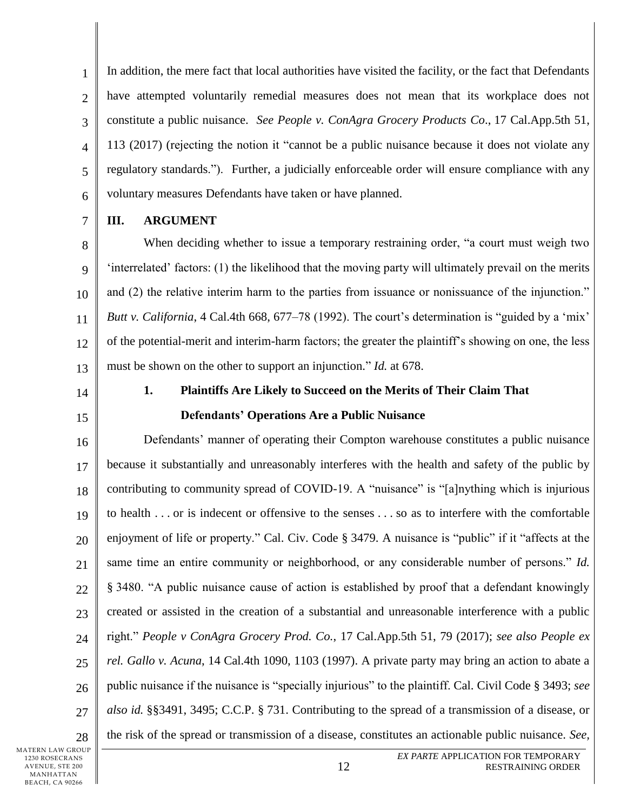1 2 3 4 5 6 In addition, the mere fact that local authorities have visited the facility, or the fact that Defendants have attempted voluntarily remedial measures does not mean that its workplace does not constitute a public nuisance. *See People v. ConAgra Grocery Products Co*., 17 Cal.App.5th 51, 113 (2017) (rejecting the notion it "cannot be a public nuisance because it does not violate any regulatory standards."). Further, a judicially enforceable order will ensure compliance with any voluntary measures Defendants have taken or have planned.

7

## <span id="page-11-0"></span>**III. ARGUMENT**

8 9 10 11 12 13 When deciding whether to issue a temporary restraining order, "a court must weigh two 'interrelated' factors: (1) the likelihood that the moving party will ultimately prevail on the merits and (2) the relative interim harm to the parties from issuance or nonissuance of the injunction." *Butt v. California*, 4 Cal.4th 668, 677–78 (1992). The court's determination is "guided by a 'mix' of the potential-merit and interim-harm factors; the greater the plaintiff's showing on one, the less must be shown on the other to support an injunction." *Id.* at 678.

<span id="page-11-1"></span>14

15

# **1. Plaintiffs Are Likely to Succeed on the Merits of Their Claim That Defendants' Operations Are a Public Nuisance**

16 17 18 19 20 21 22 23 24  $25$ 26 27 28 Defendants' manner of operating their Compton warehouse constitutes a public nuisance because it substantially and unreasonably interferes with the health and safety of the public by contributing to community spread of COVID-19. A "nuisance" is "[a]nything which is injurious to health . . . or is indecent or offensive to the senses . . . so as to interfere with the comfortable enjoyment of life or property." Cal. Civ. Code § 3479. A nuisance is "public" if it "affects at the same time an entire community or neighborhood, or any considerable number of persons." *Id.*  § 3480. "A public nuisance cause of action is established by proof that a defendant knowingly created or assisted in the creation of a substantial and unreasonable interference with a public right." *People v ConAgra Grocery Prod. Co.*, 17 Cal.App.5th 51, 79 (2017); *see also People ex rel. Gallo v. Acuna*, 14 Cal.4th 1090, 1103 (1997). A private party may bring an action to abate a public nuisance if the nuisance is "specially injurious" to the plaintiff. Cal. Civil Code § 3493; *see also id.* §§3491, 3495; C.C.P. § 731. Contributing to the spread of a transmission of a disease, or the risk of the spread or transmission of a disease, constitutes an actionable public nuisance. *See,*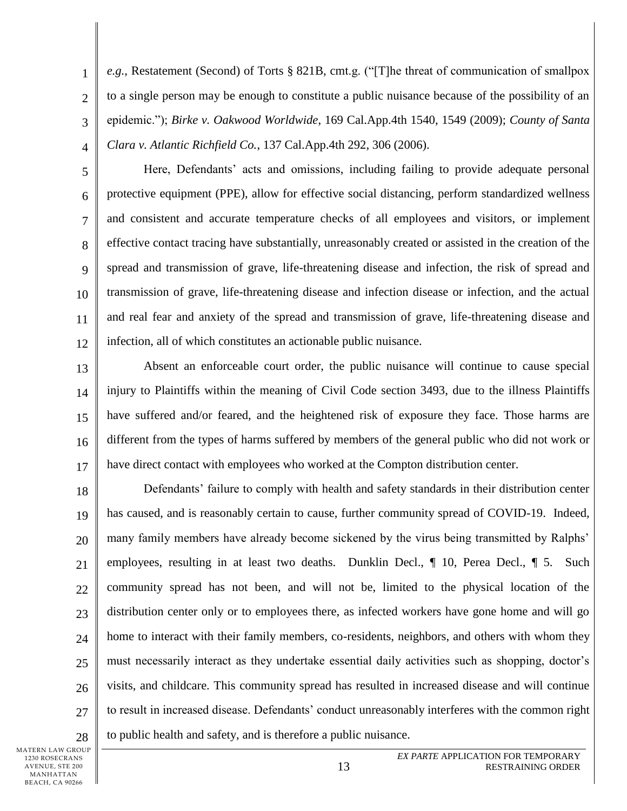1 2 3 4 *e.g.*, Restatement (Second) of Torts § 821B, cmt.g. ("[T]he threat of communication of smallpox to a single person may be enough to constitute a public nuisance because of the possibility of an epidemic."); *Birke v. Oakwood Worldwide*, 169 Cal.App.4th 1540, 1549 (2009); *County of Santa Clara v. Atlantic Richfield Co.*, 137 Cal.App.4th 292, 306 (2006).

5 6 7 8 9 10 11 12 Here, Defendants' acts and omissions, including failing to provide adequate personal protective equipment (PPE), allow for effective social distancing, perform standardized wellness and consistent and accurate temperature checks of all employees and visitors, or implement effective contact tracing have substantially, unreasonably created or assisted in the creation of the spread and transmission of grave, life-threatening disease and infection, the risk of spread and transmission of grave, life-threatening disease and infection disease or infection, and the actual and real fear and anxiety of the spread and transmission of grave, life-threatening disease and infection, all of which constitutes an actionable public nuisance.

13 14 15 16 17 Absent an enforceable court order, the public nuisance will continue to cause special injury to Plaintiffs within the meaning of Civil Code section 3493, due to the illness Plaintiffs have suffered and/or feared, and the heightened risk of exposure they face. Those harms are different from the types of harms suffered by members of the general public who did not work or have direct contact with employees who worked at the Compton distribution center.

18 19 20 21 22 23 24  $25$ 26 27 28 Defendants' failure to comply with health and safety standards in their distribution center has caused, and is reasonably certain to cause, further community spread of COVID-19. Indeed, many family members have already become sickened by the virus being transmitted by Ralphs' employees, resulting in at least two deaths. Dunklin Decl.,  $\P$  10, Perea Decl.,  $\P$  5. Such community spread has not been, and will not be, limited to the physical location of the distribution center only or to employees there, as infected workers have gone home and will go home to interact with their family members, co-residents, neighbors, and others with whom they must necessarily interact as they undertake essential daily activities such as shopping, doctor's visits, and childcare. This community spread has resulted in increased disease and will continue to result in increased disease. Defendants' conduct unreasonably interferes with the common right to public health and safety, and is therefore a public nuisance.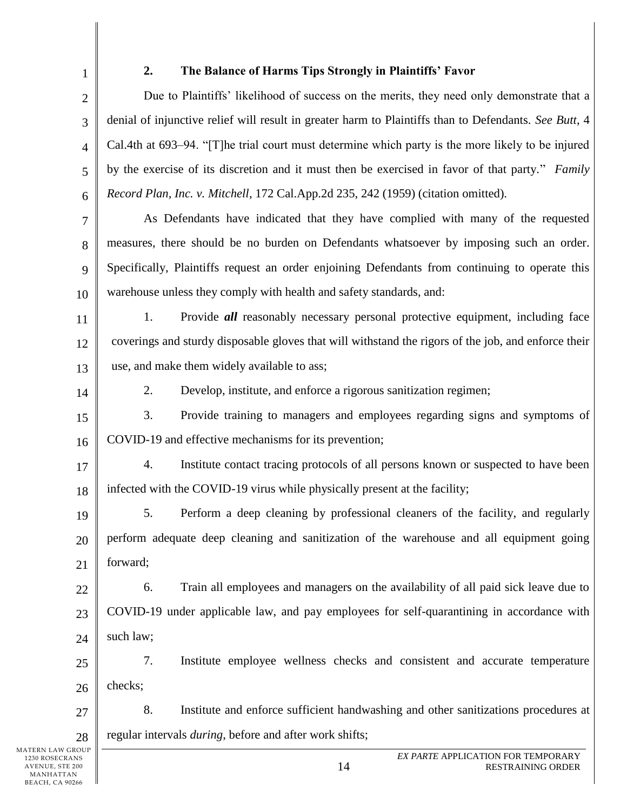<span id="page-13-0"></span>

1

## **2. The Balance of Harms Tips Strongly in Plaintiffs' Favor**

2 3 4 5 6 Due to Plaintiffs' likelihood of success on the merits, they need only demonstrate that a denial of injunctive relief will result in greater harm to Plaintiffs than to Defendants. *See Butt*, 4 Cal.4th at 693–94. "[T]he trial court must determine which party is the more likely to be injured by the exercise of its discretion and it must then be exercised in favor of that party." *Family Record Plan, Inc. v. Mitchell*, 172 Cal.App.2d 235, 242 (1959) (citation omitted).

7 8 9 10 As Defendants have indicated that they have complied with many of the requested measures, there should be no burden on Defendants whatsoever by imposing such an order. Specifically, Plaintiffs request an order enjoining Defendants from continuing to operate this warehouse unless they comply with health and safety standards, and:

11 12 13 1. Provide *all* reasonably necessary personal protective equipment, including face coverings and sturdy disposable gloves that will withstand the rigors of the job, and enforce their use, and make them widely available to ass;

14

2. Develop, institute, and enforce a rigorous sanitization regimen;

15 16 3. Provide training to managers and employees regarding signs and symptoms of COVID-19 and effective mechanisms for its prevention;

17 18 4. Institute contact tracing protocols of all persons known or suspected to have been infected with the COVID-19 virus while physically present at the facility;

19 20 21 5. Perform a deep cleaning by professional cleaners of the facility, and regularly perform adequate deep cleaning and sanitization of the warehouse and all equipment going forward;

22 23 24 6. Train all employees and managers on the availability of all paid sick leave due to COVID-19 under applicable law, and pay employees for self-quarantining in accordance with such law;

25 26 7. Institute employee wellness checks and consistent and accurate temperature checks;

27 28 8. Institute and enforce sufficient handwashing and other sanitizations procedures at regular intervals *during*, before and after work shifts;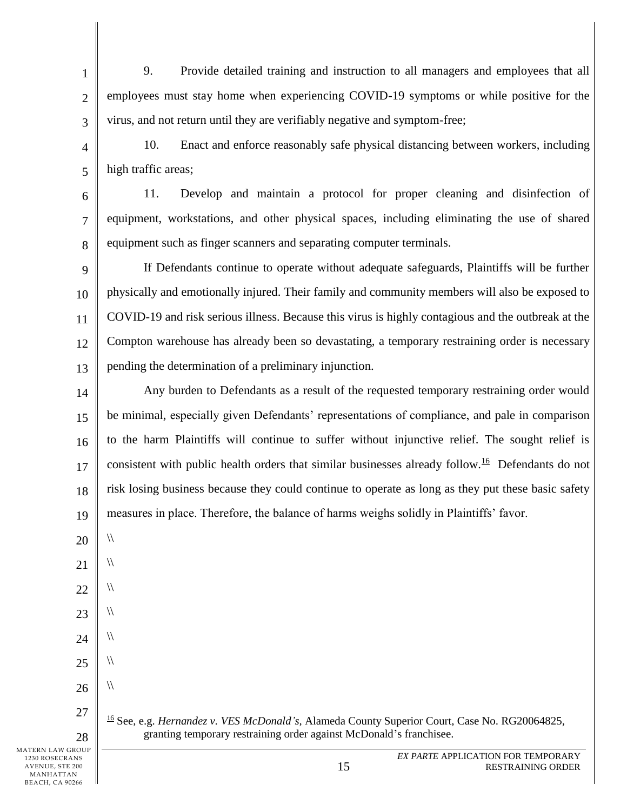9. Provide detailed training and instruction to all managers and employees that all employees must stay home when experiencing COVID-19 symptoms or while positive for the virus, and not return until they are verifiably negative and symptom-free;

4 5 10. Enact and enforce reasonably safe physical distancing between workers, including high traffic areas;

6 7 8 11. Develop and maintain a protocol for proper cleaning and disinfection of equipment, workstations, and other physical spaces, including eliminating the use of shared equipment such as finger scanners and separating computer terminals.

9 10 11 12 13 If Defendants continue to operate without adequate safeguards, Plaintiffs will be further physically and emotionally injured. Their family and community members will also be exposed to COVID-19 and risk serious illness. Because this virus is highly contagious and the outbreak at the Compton warehouse has already been so devastating, a temporary restraining order is necessary pending the determination of a preliminary injunction.

14 15 16 17 18 19 Any burden to Defendants as a result of the requested temporary restraining order would be minimal, especially given Defendants' representations of compliance, and pale in comparison to the harm Plaintiffs will continue to suffer without injunctive relief. The sought relief is consistent with public health orders that similar businesses already follow.<sup>16</sup> Defendants do not risk losing business because they could continue to operate as long as they put these basic safety measures in place. Therefore, the balance of harms weighs solidly in Plaintiffs' favor.

20 21  $\sqrt{ }$  $\sqrt{ }$ 

1

2

3

22

 $\sqrt{ }$ 

 $\sqrt{ }$ 

 $\sqrt{ }$ 

 $\sqrt{ }$ 

 $\sqrt{2}$ 

- 23
- 24
- 25 26

27

28

MATERN LAW GROUP

<sup>16</sup> See, e.g. *Hernandez v. VES McDonald's,* Alameda County Superior Court, Case No. RG20064825, granting temporary restraining order against McDonald's franchisee.